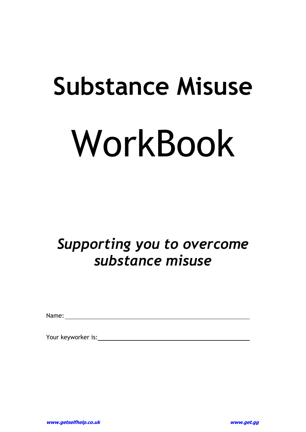# **Substance Misuse**  WorkBook

# *Supporting you to overcome substance misuse*

Name:

Your keyworker is: <u>with a set of the set of the set of the set of the set of the set of the set of the set of the set of the set of the set of the set of the set of the set of the set of the set of the set of the set of t</u>

**www.getselfhelp.co.uk www.get.gg**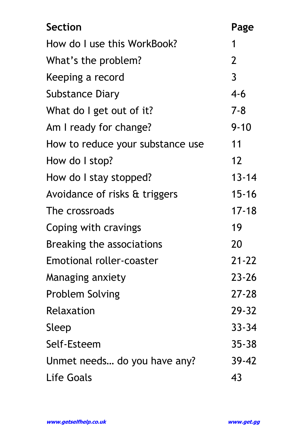| <b>Section</b>                   | Page           |
|----------------------------------|----------------|
| How do I use this WorkBook?      | 1              |
| What's the problem?              | $\overline{2}$ |
| Keeping a record                 | $\overline{3}$ |
| Substance Diary                  | 4-6            |
| What do I get out of it?         | $7 - 8$        |
| Am I ready for change?           | $9 - 10$       |
| How to reduce your substance use | 11             |
| How do I stop?                   | 12             |
| How do I stay stopped?           | $13 - 14$      |
| Avoidance of risks & triggers    | $15 - 16$      |
| The crossroads                   | $17 - 18$      |
| Coping with cravings             | 19             |
| Breaking the associations        | <b>20</b>      |
| <b>Emotional roller-coaster</b>  | $21 - 22$      |
| Managing anxiety                 | $23 - 26$      |
| <b>Problem Solving</b>           | 27-28          |
| Relaxation                       | $29 - 32$      |
| Sleep                            | $33 - 34$      |
| Self-Esteem                      | $35 - 38$      |
| Unmet needs do you have any?     | $39 - 42$      |
| Life Goals                       | 43             |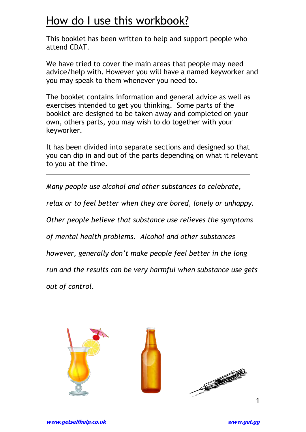## How do I use this workbook?

This booklet has been written to help and support people who attend CDAT.

We have tried to cover the main areas that people may need advice/help with. However you will have a named keyworker and you may speak to them whenever you need to.

The booklet contains information and general advice as well as exercises intended to get you thinking. Some parts of the booklet are designed to be taken away and completed on your own, others parts, you may wish to do together with your keyworker.

It has been divided into separate sections and designed so that you can dip in and out of the parts depending on what it relevant to you at the time.

*Many people use alcohol and other substances to celebrate,* 

*relax or to feel better when they are bored, lonely or unhappy.* 

*Other people believe that substance use relieves the symptoms* 

*of mental health problems. Alcohol and other substances* 

*however, generally don't make people feel better in the long* 

*run and the results can be very harmful when substance use gets* 

*out of control.* 

 $\overline{a}$ 

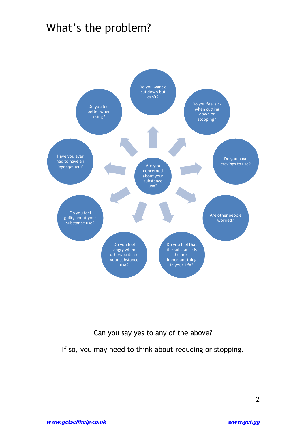## What's the problem?



Can you say yes to any of the above?

If so, you may need to think about reducing or stopping.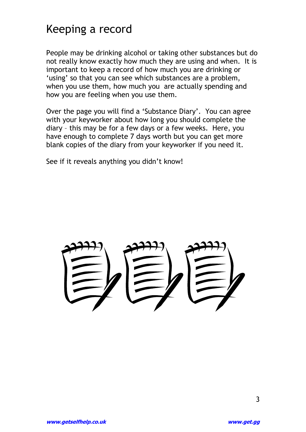## Keeping a record

People may be drinking alcohol or taking other substances but do not really know exactly how much they are using and when. It is important to keep a record of how much you are drinking or 'using' so that you can see which substances are a problem, when you use them, how much you are actually spending and how you are feeling when you use them.

Over the page you will find a 'Substance Diary'. You can agree with your keyworker about how long you should complete the diary – this may be for a few days or a few weeks. Here, you have enough to complete 7 days worth but you can get more blank copies of the diary from your keyworker if you need it.

See if it reveals anything you didn't know!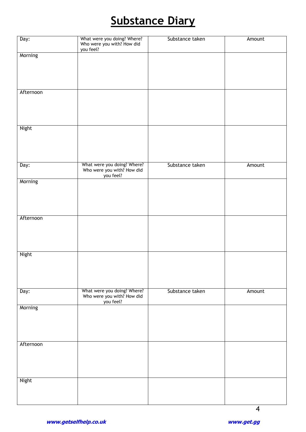# **Substance Diary**

| Day:         | What were you doing? Where?<br>Who were you with? How did<br>you feel? | Substance taken | Amount |
|--------------|------------------------------------------------------------------------|-----------------|--------|
| Morning      |                                                                        |                 |        |
|              |                                                                        |                 |        |
|              |                                                                        |                 |        |
| Afternoon    |                                                                        |                 |        |
|              |                                                                        |                 |        |
|              |                                                                        |                 |        |
|              |                                                                        |                 |        |
| <b>Night</b> |                                                                        |                 |        |
|              |                                                                        |                 |        |
|              |                                                                        |                 |        |
| Day:         |                                                                        | Substance taken | Amount |
|              | What were you doing? Where?<br>Who were you with? How did<br>you feel? |                 |        |
| Morning      |                                                                        |                 |        |
|              |                                                                        |                 |        |
|              |                                                                        |                 |        |
| Afternoon    |                                                                        |                 |        |
|              |                                                                        |                 |        |
|              |                                                                        |                 |        |
|              |                                                                        |                 |        |
| Night        |                                                                        |                 |        |
|              |                                                                        |                 |        |
|              |                                                                        |                 |        |
| Day:         |                                                                        | Substance taken | Amount |
|              | What were you doing? Where?<br>Who were you with? How did<br>you feel? |                 |        |
| Morning      |                                                                        |                 |        |
|              |                                                                        |                 |        |
|              |                                                                        |                 |        |
| Afternoon    |                                                                        |                 |        |
|              |                                                                        |                 |        |
|              |                                                                        |                 |        |
|              |                                                                        |                 |        |
| Night        |                                                                        |                 |        |
|              |                                                                        |                 |        |
|              |                                                                        |                 |        |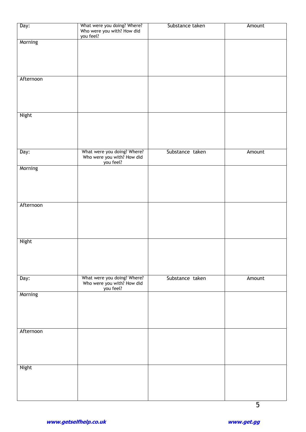| Day:      | What were you doing? Where?<br>Who were you with? How did<br>you feel? | Substance taken | Amount |
|-----------|------------------------------------------------------------------------|-----------------|--------|
| Morning   |                                                                        |                 |        |
|           |                                                                        |                 |        |
| Afternoon |                                                                        |                 |        |
|           |                                                                        |                 |        |
| Night     |                                                                        |                 |        |
|           |                                                                        |                 |        |
| Day:      | What were you doing? Where?<br>Who were you with? How did<br>you feel? | Substance taken | Amount |
| Morning   |                                                                        |                 |        |
|           |                                                                        |                 |        |
| Afternoon |                                                                        |                 |        |
|           |                                                                        |                 |        |
| Night     |                                                                        |                 |        |
|           |                                                                        |                 |        |
| Day:      | What were you doing? Where?<br>Who were you with? How did<br>you feel? | Substance taken | Amount |
| Morning   |                                                                        |                 |        |
|           |                                                                        |                 |        |
| Afternoon |                                                                        |                 |        |
|           |                                                                        |                 |        |
| Night     |                                                                        |                 |        |
|           |                                                                        |                 |        |
|           |                                                                        |                 |        |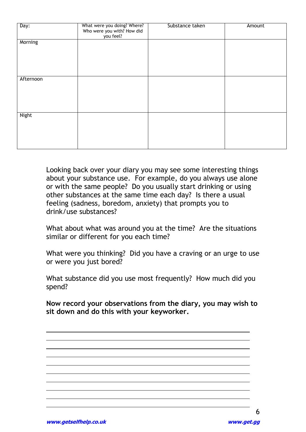| Day:      | What were you doing? Where?<br>Who were you with? How did<br>you feel? | Substance taken | Amount |
|-----------|------------------------------------------------------------------------|-----------------|--------|
| Morning   |                                                                        |                 |        |
| Afternoon |                                                                        |                 |        |
| Night     |                                                                        |                 |        |

Looking back over your diary you may see some interesting things about your substance use. For example, do you always use alone or with the same people? Do you usually start drinking or using other substances at the same time each day? Is there a usual feeling (sadness, boredom, anxiety) that prompts you to drink/use substances?

What about what was around you at the time? Are the situations similar or different for you each time?

What were you thinking? Did you have a craving or an urge to use or were you just bored?

What substance did you use most frequently? How much did you spend?

**Now record your observations from the diary, you may wish to sit down and do this with your keyworker.** 

 $\overline{a}$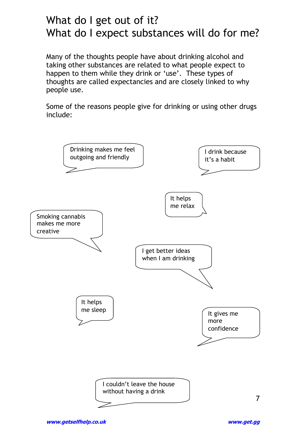## What do I get out of it? What do I expect substances will do for me?

Many of the thoughts people have about drinking alcohol and taking other substances are related to what people expect to happen to them while they drink or 'use'. These types of thoughts are called expectancies and are closely linked to why people use.

Some of the reasons people give for drinking or using other drugs include:

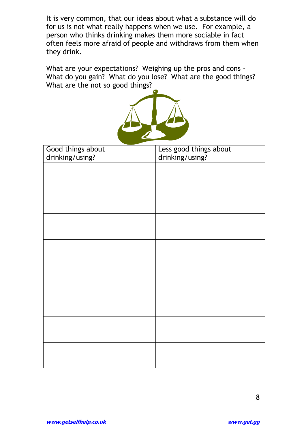It is very common, that our ideas about what a substance will do for us is not what really happens when we use. For example, a person who thinks drinking makes them more sociable in fact often feels more afraid of people and withdraws from them when they drink.

What are your expectations? Weighing up the pros and cons - What do you gain? What do you lose? What are the good things? What are the not so good things?



| Good things about<br>drinking/using? | Less good things about<br>drinking/using? |
|--------------------------------------|-------------------------------------------|
|                                      |                                           |
|                                      |                                           |
|                                      |                                           |
|                                      |                                           |
|                                      |                                           |
|                                      |                                           |
|                                      |                                           |
|                                      |                                           |
|                                      |                                           |
|                                      |                                           |
|                                      |                                           |
|                                      |                                           |
|                                      |                                           |
|                                      |                                           |
|                                      |                                           |
|                                      |                                           |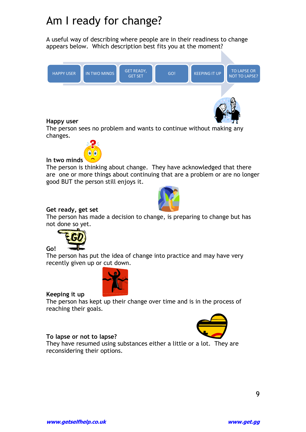## Am I ready for change?

A useful way of describing where people are in their readiness to change appears below. Which description best fits you at the moment?



The person sees no problem and wants to continue without making any changes.



**In two minds**

The person is thinking about change. They have acknowledged that there are one or more things about continuing that are a problem or are no longer good BUT the person still enjoys it.



#### **Get ready, get set**

The person has made a decision to change, is preparing to change but has not done so yet.



The person has put the idea of change into practice and may have very recently given up or cut down.



**Keeping it up** 

**Go!** 

The person has kept up their change over time and is in the process of reaching their goals.

#### **To lapse or not to lapse?**

They have resumed using substances either a little or a lot. They are reconsidering their options.

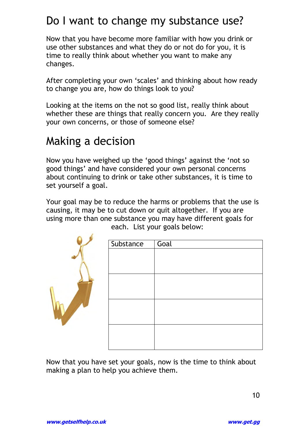## Do I want to change my substance use?

Now that you have become more familiar with how you drink or use other substances and what they do or not do for you, it is time to really think about whether you want to make any changes.

After completing your own 'scales' and thinking about how ready to change you are, how do things look to you?

Looking at the items on the not so good list, really think about whether these are things that really concern you. Are they really your own concerns, or those of someone else?

## Making a decision

Now you have weighed up the "good things" against the "not so good things" and have considered your own personal concerns about continuing to drink or take other substances, it is time to set yourself a goal.

Your goal may be to reduce the harms or problems that the use is causing, it may be to cut down or quit altogether. If you are using more than one substance you may have different goals for

| Substance | Goal |
|-----------|------|
|           |      |
|           |      |
|           |      |
|           |      |
|           |      |
|           |      |
|           |      |
|           |      |
|           |      |
|           |      |
|           |      |
|           |      |
|           |      |

each. List your goals below:

Now that you have set your goals, now is the time to think about making a plan to help you achieve them.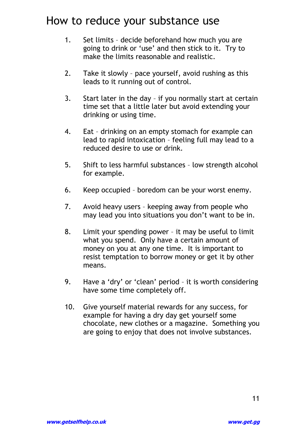## How to reduce your substance use

- 1. Set limits decide beforehand how much you are going to drink or "use" and then stick to it. Try to make the limits reasonable and realistic.
- 2. Take it slowly pace yourself, avoid rushing as this leads to it running out of control.
- 3. Start later in the day if you normally start at certain time set that a little later but avoid extending your drinking or using time.
- 4. Eat drinking on an empty stomach for example can lead to rapid intoxication – feeling full may lead to a reduced desire to use or drink.
- 5. Shift to less harmful substances low strength alcohol for example.
- 6. Keep occupied boredom can be your worst enemy.
- 7. Avoid heavy users keeping away from people who may lead you into situations you don"t want to be in.
- 8. Limit your spending power it may be useful to limit what you spend. Only have a certain amount of money on you at any one time. It is important to resist temptation to borrow money or get it by other means.
- 9. Have a 'dry' or 'clean' period it is worth considering have some time completely off.
- 10. Give yourself material rewards for any success, for example for having a dry day get yourself some chocolate, new clothes or a magazine. Something you are going to enjoy that does not involve substances.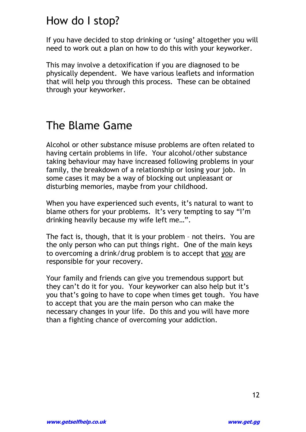## How do I stop?

If you have decided to stop drinking or 'using' altogether you will need to work out a plan on how to do this with your keyworker.

This may involve a detoxification if you are diagnosed to be physically dependent. We have various leaflets and information that will help you through this process. These can be obtained through your keyworker.

## The Blame Game

Alcohol or other substance misuse problems are often related to having certain problems in life. Your alcohol/other substance taking behaviour may have increased following problems in your family, the breakdown of a relationship or losing your job. In some cases it may be a way of blocking out unpleasant or disturbing memories, maybe from your childhood.

When you have experienced such events, it's natural to want to blame others for your problems. It's very tempting to say "I'm drinking heavily because my wife left me…".

The fact is, though, that it is your problem – not theirs. You are the only person who can put things right. One of the main keys to overcoming a drink/drug problem is to accept that *you* are responsible for your recovery.

Your family and friends can give you tremendous support but they can"t do it for you. Your keyworker can also help but it"s you that"s going to have to cope when times get tough. You have to accept that you are the main person who can make the necessary changes in your life. Do this and you will have more than a fighting chance of overcoming your addiction.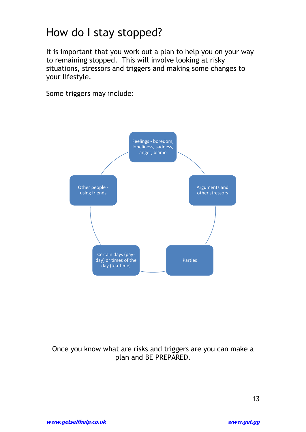## How do I stay stopped?

It is important that you work out a plan to help you on your way to remaining stopped. This will involve looking at risky situations, stressors and triggers and making some changes to your lifestyle.

Some triggers may include:



Once you know what are risks and triggers are you can make a plan and BE PREPARED.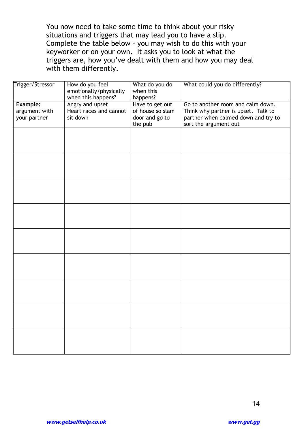You now need to take some time to think about your risky situations and triggers that may lead you to have a slip. Complete the table below – you may wish to do this with your keyworker or on your own. It asks you to look at what the triggers are, how you"ve dealt with them and how you may deal with them differently.

| Trigger/Stressor                                 | How do you feel<br>emotionally/physically<br>when this happens? | What do you do<br>when this<br>happens?                          | What could you do differently?                                                                                                           |
|--------------------------------------------------|-----------------------------------------------------------------|------------------------------------------------------------------|------------------------------------------------------------------------------------------------------------------------------------------|
| <b>Example:</b><br>argument with<br>your partner | Angry and upset<br>Heart races and cannot<br>sit down           | Have to get out<br>of house so slam<br>door and go to<br>the pub | Go to another room and calm down.<br>Think why partner is upset. Talk to<br>partner when calmed down and try to<br>sort the argument out |
|                                                  |                                                                 |                                                                  |                                                                                                                                          |
|                                                  |                                                                 |                                                                  |                                                                                                                                          |
|                                                  |                                                                 |                                                                  |                                                                                                                                          |
|                                                  |                                                                 |                                                                  |                                                                                                                                          |
|                                                  |                                                                 |                                                                  |                                                                                                                                          |
|                                                  |                                                                 |                                                                  |                                                                                                                                          |
|                                                  |                                                                 |                                                                  |                                                                                                                                          |
|                                                  |                                                                 |                                                                  |                                                                                                                                          |
|                                                  |                                                                 |                                                                  |                                                                                                                                          |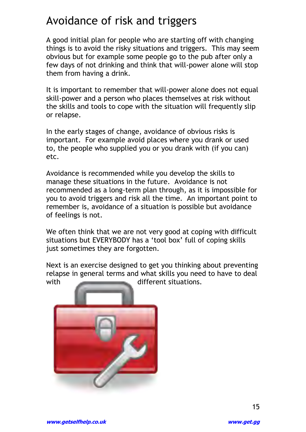## Avoidance of risk and triggers

A good initial plan for people who are starting off with changing things is to avoid the risky situations and triggers. This may seem obvious but for example some people go to the pub after only a few days of not drinking and think that will-power alone will stop them from having a drink.

It is important to remember that will-power alone does not equal skill-power and a person who places themselves at risk without the skills and tools to cope with the situation will frequently slip or relapse.

In the early stages of change, avoidance of obvious risks is important. For example avoid places where you drank or used to, the people who supplied you or you drank with (if you can) etc.

Avoidance is recommended while you develop the skills to manage these situations in the future. Avoidance is not recommended as a long-term plan through, as it is impossible for you to avoid triggers and risk all the time. An important point to remember is, avoidance of a situation is possible but avoidance of feelings is not.

We often think that we are not very good at coping with difficult situations but EVERYBODY has a 'tool box' full of coping skills just sometimes they are forgotten.

Next is an exercise designed to get you thinking about preventing relapse in general terms and what skills you need to have to deal with different situations.

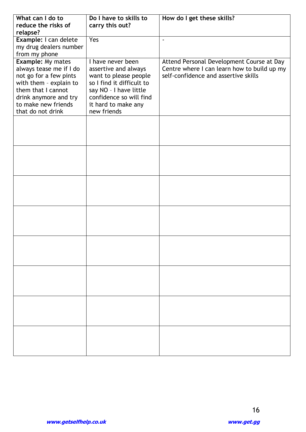| What can I do to                                                                                                                                                       | Do I have to skills to                                                                                                                                                | How do I get these skills?                                                          |
|------------------------------------------------------------------------------------------------------------------------------------------------------------------------|-----------------------------------------------------------------------------------------------------------------------------------------------------------------------|-------------------------------------------------------------------------------------|
| reduce the risks of<br>relapse?                                                                                                                                        | carry this out?                                                                                                                                                       |                                                                                     |
| Example: I can delete                                                                                                                                                  | Yes                                                                                                                                                                   | $\blacksquare$                                                                      |
| my drug dealers number                                                                                                                                                 |                                                                                                                                                                       |                                                                                     |
| from my phone<br><b>Example: My mates</b>                                                                                                                              | I have never been                                                                                                                                                     | Attend Personal Development Course at Day                                           |
| always tease me if I do<br>not go for a few pints<br>with them - explain to<br>them that I cannot<br>drink anymore and try<br>to make new friends<br>that do not drink | assertive and always<br>want to please people<br>so I find it difficult to<br>say NO - I have little<br>confidence so will find<br>it hard to make any<br>new friends | Centre where I can learn how to build up my<br>self-confidence and assertive skills |
|                                                                                                                                                                        |                                                                                                                                                                       |                                                                                     |
|                                                                                                                                                                        |                                                                                                                                                                       |                                                                                     |
|                                                                                                                                                                        |                                                                                                                                                                       |                                                                                     |
|                                                                                                                                                                        |                                                                                                                                                                       |                                                                                     |
|                                                                                                                                                                        |                                                                                                                                                                       |                                                                                     |
|                                                                                                                                                                        |                                                                                                                                                                       |                                                                                     |
|                                                                                                                                                                        |                                                                                                                                                                       |                                                                                     |
|                                                                                                                                                                        |                                                                                                                                                                       |                                                                                     |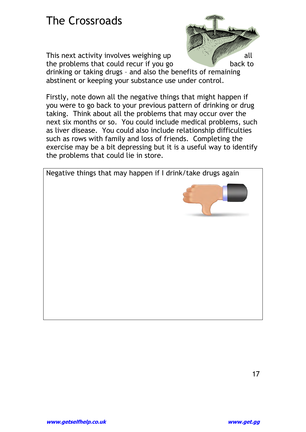## The Crossroads

This next activity involves weighing up  $\frac{1}{2}$  all the problems that could recur if you go back to



drinking or taking drugs – and also the benefits of remaining abstinent or keeping your substance use under control.

Firstly, note down all the negative things that might happen if you were to go back to your previous pattern of drinking or drug taking. Think about all the problems that may occur over the next six months or so. You could include medical problems, such as liver disease. You could also include relationship difficulties such as rows with family and loss of friends. Completing the exercise may be a bit depressing but it is a useful way to identify the problems that could lie in store.

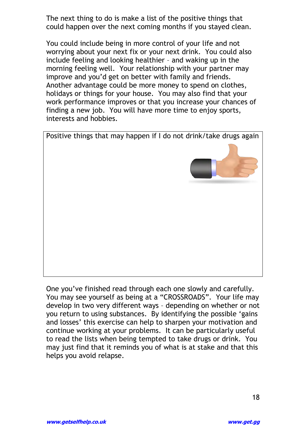The next thing to do is make a list of the positive things that could happen over the next coming months if you stayed clean.

You could include being in more control of your life and not worrying about your next fix or your next drink. You could also include feeling and looking healthier – and waking up in the morning feeling well. Your relationship with your partner may improve and you"d get on better with family and friends. Another advantage could be more money to spend on clothes, holidays or things for your house. You may also find that your work performance improves or that you increase your chances of finding a new job. You will have more time to enjoy sports, interests and hobbies.



One you"ve finished read through each one slowly and carefully. You may see yourself as being at a "CROSSROADS". Your life may develop in two very different ways – depending on whether or not you return to using substances. By identifying the possible "gains and losses' this exercise can help to sharpen your motivation and continue working at your problems. It can be particularly useful to read the lists when being tempted to take drugs or drink. You may just find that it reminds you of what is at stake and that this helps you avoid relapse.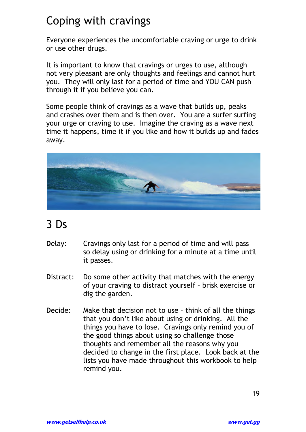# Coping with cravings

Everyone experiences the uncomfortable craving or urge to drink or use other drugs.

It is important to know that cravings or urges to use, although not very pleasant are only thoughts and feelings and cannot hurt you. They will only last for a period of time and YOU CAN push through it if you believe you can.

Some people think of cravings as a wave that builds up, peaks and crashes over them and is then over. You are a surfer surfing your urge or craving to use. Imagine the craving as a wave next time it happens, time it if you like and how it builds up and fades away.



## 3 Ds

- **Delay:** Cravings only last for a period of time and will pass so delay using or drinking for a minute at a time until it passes.
- **Distract:** Do some other activity that matches with the energy of your craving to distract yourself – brisk exercise or dig the garden.
- **Decide:** Make that decision not to use think of all the things that you don"t like about using or drinking. All the things you have to lose. Cravings only remind you of the good things about using so challenge those thoughts and remember all the reasons why you decided to change in the first place. Look back at the lists you have made throughout this workbook to help remind you.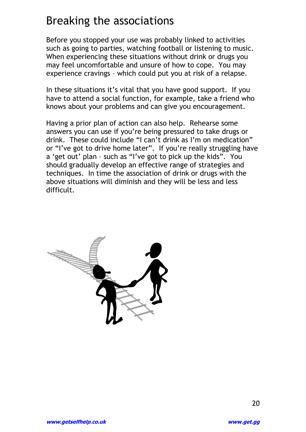## Breaking the associations

Before you stopped your use was probably linked to activities such as going to parties, watching football or listening to music. When experiencing these situations without drink or drugs you may feel uncomfortable and unsure of how to cope. You may experience cravings – which could put you at risk of a relapse.

In these situations it's vital that you have good support. If you have to attend a social function, for example, take a friend who knows about your problems and can give you encouragement.

Having a prior plan of action can also help. Rehearse some answers you can use if you"re being pressured to take drugs or drink. These could include "I can"t drink as I"m on medication" or "I"ve got to drive home later". If you"re really struggling have a "get out" plan – such as "I"ve got to pick up the kids". You should gradually develop an effective range of strategies and techniques. In time the association of drink or drugs with the above situations will diminish and they will be less and less difficult.

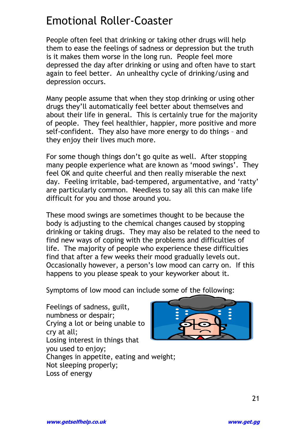## Emotional Roller-Coaster

People often feel that drinking or taking other drugs will help them to ease the feelings of sadness or depression but the truth is it makes them worse in the long run. People feel more depressed the day after drinking or using and often have to start again to feel better. An unhealthy cycle of drinking/using and depression occurs.

Many people assume that when they stop drinking or using other drugs they"ll automatically feel better about themselves and about their life in general. This is certainly true for the majority of people. They feel healthier, happier, more positive and more self-confident. They also have more energy to do things – and they enjoy their lives much more.

For some though things don"t go quite as well. After stopping many people experience what are known as 'mood swings'. They feel OK and quite cheerful and then really miserable the next day. Feeling irritable, bad-tempered, argumentative, and "ratty" are particularly common. Needless to say all this can make life difficult for you and those around you.

These mood swings are sometimes thought to be because the body is adjusting to the chemical changes caused by stopping drinking or taking drugs. They may also be related to the need to find new ways of coping with the problems and difficulties of life. The majority of people who experience these difficulties find that after a few weeks their mood gradually levels out. Occasionally however, a person"s low mood can carry on. If this happens to you please speak to your keyworker about it.

Symptoms of low mood can include some of the following:

Feelings of sadness, guilt, numbness or despair; Crying a lot or being unable to cry at all; Losing interest in things that you used to enjoy; Changes in appetite, eating and weight; Not sleeping properly; Loss of energy

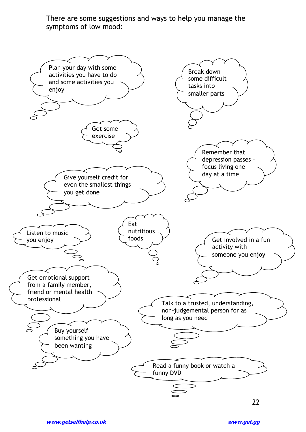There are some suggestions and ways to help you manage the symptoms of low mood:

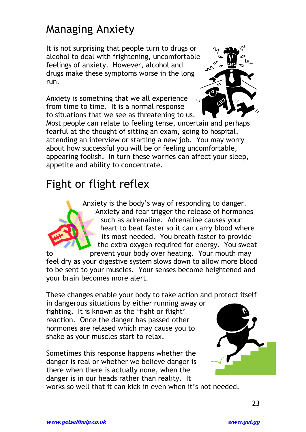## Managing Anxiety

It is not surprising that people turn to drugs or alcohol to deal with frightening, uncomfortable feelings of anxiety. However, alcohol and drugs make these symptoms worse in the long run.

Anxiety is something that we all experience from time to time. It is a normal response to situations that we see as threatening to us.



Most people can relate to feeling tense, uncertain and perhaps fearful at the thought of sitting an exam, going to hospital, attending an interview or starting a new job. You may worry about how successful you will be or feeling uncomfortable, appearing foolish. In turn these worries can affect your sleep, appetite and ability to concentrate.

## Fight or flight reflex



Anxiety is the body"s way of responding to danger. Anxiety and fear trigger the release of hormones such as adrenaline. Adrenaline causes your heart to beat faster so it can carry blood where its most needed. You breath faster to provide the extra oxygen required for energy. You sweat

to prevent your body over heating. Your mouth may feel dry as your digestive system slows down to allow more blood to be sent to your muscles. Your senses become heightened and your brain becomes more alert.

These changes enable your body to take action and protect itself

in dangerous situations by either running away or fighting. It is known as the "fight or flight" reaction. Once the danger has passed other hormones are relased which may cause you to shake as your muscles start to relax.

Sometimes this response happens whether the danger is real or whether we believe danger is there when there is actually none, when the danger is in our heads rather than reality. It



works so well that it can kick in even when it's not needed.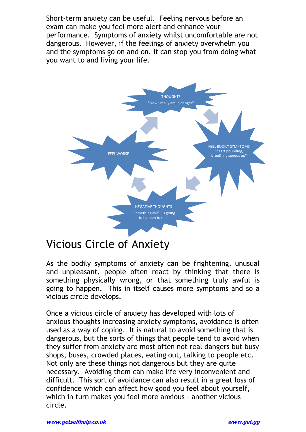Short-term anxiety can be useful. Feeling nervous before an exam can make you feel more alert and enhance your performance. Symptoms of anxiety whilst uncomfortable are not dangerous. However, if the feelings of anxiety overwhelm you and the symptoms go on and on, it can stop you from doing what you want to and living your life.



## Vicious Circle of Anxiety

As the bodily symptoms of anxiety can be frightening, unusual and unpleasant, people often react by thinking that there is something physically wrong, or that something truly awful is going to happen. This in itself causes more symptoms and so a vicious circle develops.

Once a vicious circle of anxiety has developed with lots of anxious thoughts increasing anxiety symptoms, avoidance is often used as a way of coping. It is natural to avoid something that is dangerous, but the sorts of things that people tend to avoid when they suffer from anxiety are most often not real dangers but busy shops, buses, crowded places, eating out, talking to people etc. Not only are these things not dangerous but they are quite necessary. Avoiding them can make life very inconvenient and difficult. This sort of avoidance can also result in a great loss of confidence which can affect how good you feel about yourself, which in turn makes you feel more anxious – another vicious circle.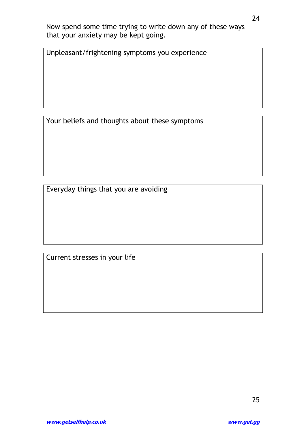Now spend some time trying to write down any of these ways that your anxiety may be kept going.

Unpleasant/frightening symptoms you experience

Your beliefs and thoughts about these symptoms

Everyday things that you are avoiding

Current stresses in your life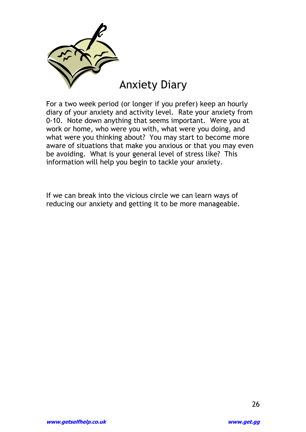

For a two week period (or longer if you prefer) keep an hourly diary of your anxiety and activity level. Rate your anxiety from 0-10. Note down anything that seems important. Were you at work or home, who were you with, what were you doing, and what were you thinking about? You may start to become more aware of situations that make you anxious or that you may even be avoiding. What is your general level of stress like? This information will help you begin to tackle your anxiety.

If we can break into the vicious circle we can learn ways of reducing our anxiety and getting it to be more manageable.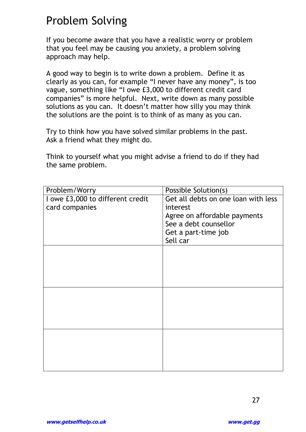## Problem Solving

If you become aware that you have a realistic worry or problem that you feel may be causing you anxiety, a problem solving approach may help.

A good way to begin is to write down a problem. Define it as clearly as you can, for example "I never have any money", is too vague, something like "I owe £3,000 to different credit card companies" is more helpful. Next, write down as many possible solutions as you can. It doesn't matter how silly you may think the solutions are the point is to think of as many as you can.

Try to think how you have solved similar problems in the past. Ask a friend what they might do.

Think to yourself what you might advise a friend to do if they had the same problem.

| Problem/Worry                    | Possible Solution(s)                |
|----------------------------------|-------------------------------------|
| I owe £3,000 to different credit | Get all debts on one loan with less |
| card companies                   | interest                            |
|                                  | Agree on affordable payments        |
|                                  | See a debt counsellor               |
|                                  | Get a part-time job                 |
|                                  | Sell car                            |
|                                  |                                     |
|                                  |                                     |
|                                  |                                     |
|                                  |                                     |
|                                  |                                     |
|                                  |                                     |
|                                  |                                     |
|                                  |                                     |
|                                  |                                     |
|                                  |                                     |
|                                  |                                     |
|                                  |                                     |
|                                  |                                     |
|                                  |                                     |
|                                  |                                     |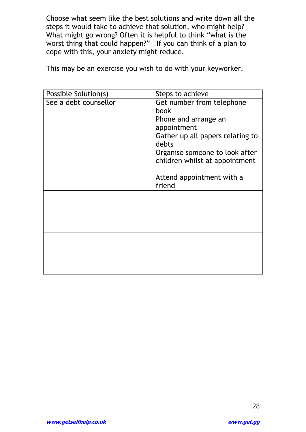Choose what seem like the best solutions and write down all the steps it would take to achieve that solution, who might help? What might go wrong? Often it is helpful to think "what is the worst thing that could happen?" If you can think of a plan to cope with this, your anxiety might reduce.

This may be an exercise you wish to do with your keyworker.

| Possible Solution(s)  | Steps to achieve                          |
|-----------------------|-------------------------------------------|
| See a debt counsellor | Get number from telephone                 |
|                       | book                                      |
|                       | Phone and arrange an                      |
|                       | appointment                               |
|                       | Gather up all papers relating to<br>debts |
|                       | Organise someone to look after            |
|                       | children whilst at appointment            |
|                       |                                           |
|                       | Attend appointment with a<br>friend       |
|                       |                                           |
|                       |                                           |
|                       |                                           |
|                       |                                           |
|                       |                                           |
|                       |                                           |
|                       |                                           |
|                       |                                           |
|                       |                                           |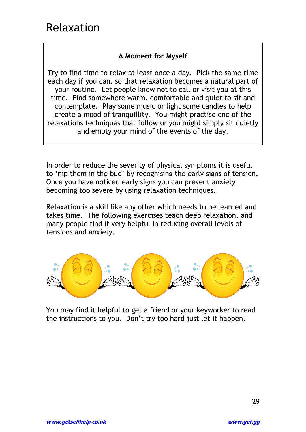## Relaxation

#### **A Moment for Myself**

Try to find time to relax at least once a day. Pick the same time each day if you can, so that relaxation becomes a natural part of your routine. Let people know not to call or visit you at this time. Find somewhere warm, comfortable and quiet to sit and contemplate. Play some music or light some candles to help create a mood of tranquillity. You might practise one of the relaxations techniques that follow or you might simply sit quietly and empty your mind of the events of the day.

In order to reduce the severity of physical symptoms it is useful to "nip them in the bud" by recognising the early signs of tension. Once you have noticed early signs you can prevent anxiety becoming too severe by using relaxation techniques.

Relaxation is a skill like any other which needs to be learned and takes time. The following exercises teach deep relaxation, and many people find it very helpful in reducing overall levels of tensions and anxiety.



You may find it helpful to get a friend or your keyworker to read the instructions to you. Don"t try too hard just let it happen.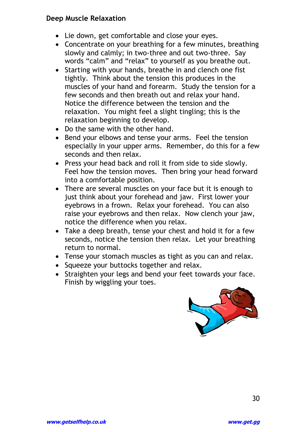#### **Deep Muscle Relaxation**

- Lie down, get comfortable and close your eyes.
- Concentrate on your breathing for a few minutes, breathing slowly and calmly; in two-three and out two-three. Say words "calm" and "relax" to yourself as you breathe out.
- Starting with your hands, breathe in and clench one fist tightly. Think about the tension this produces in the muscles of your hand and forearm. Study the tension for a few seconds and then breath out and relax your hand. Notice the difference between the tension and the relaxation. You might feel a slight tingling; this is the relaxation beginning to develop.
- Do the same with the other hand.
- Bend your elbows and tense your arms. Feel the tension especially in your upper arms. Remember, do this for a few seconds and then relax.
- Press your head back and roll it from side to side slowly. Feel how the tension moves. Then bring your head forward into a comfortable position.
- There are several muscles on your face but it is enough to just think about your forehead and jaw. First lower your eyebrows in a frown. Relax your forehead. You can also raise your eyebrows and then relax. Now clench your jaw, notice the difference when you relax.
- Take a deep breath, tense your chest and hold it for a few seconds, notice the tension then relax. Let your breathing return to normal.
- Tense your stomach muscles as tight as you can and relax.
- Squeeze your buttocks together and relax.
- Straighten your legs and bend your feet towards your face. Finish by wiggling your toes.

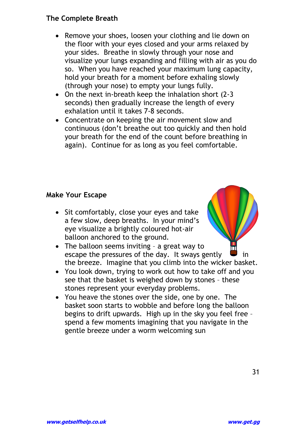#### **The Complete Breath**

- Remove your shoes, loosen your clothing and lie down on the floor with your eyes closed and your arms relaxed by your sides. Breathe in slowly through your nose and visualize your lungs expanding and filling with air as you do so. When you have reached your maximum lung capacity, hold your breath for a moment before exhaling slowly (through your nose) to empty your lungs fully.
- On the next in-breath keep the inhalation short (2-3 seconds) then gradually increase the length of every exhalation until it takes 7-8 seconds.
- Concentrate on keeping the air movement slow and continuous (don"t breathe out too quickly and then hold your breath for the end of the count before breathing in again). Continue for as long as you feel comfortable.

#### **Make Your Escape**

• Sit comfortably, close your eyes and take a few slow, deep breaths. In your mind"s eye visualize a brightly coloured hot-air balloon anchored to the ground.



- You look down, trying to work out how to take off and you see that the basket is weighed down by stones – these stones represent your everyday problems.
- You heave the stones over the side, one by one. The basket soon starts to wobble and before long the balloon begins to drift upwards. High up in the sky you feel free – spend a few moments imagining that you navigate in the gentle breeze under a worm welcoming sun



31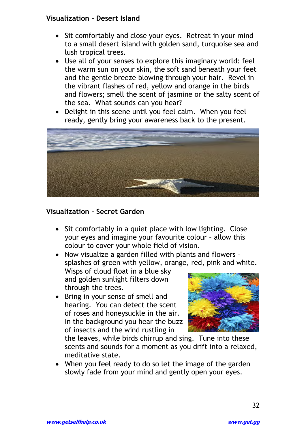#### **Visualization – Desert Island**

- Sit comfortably and close your eyes. Retreat in your mind to a small desert island with golden sand, turquoise sea and lush tropical trees.
- Use all of your senses to explore this imaginary world: feel the warm sun on your skin, the soft sand beneath your feet and the gentle breeze blowing through your hair. Revel in the vibrant flashes of red, yellow and orange in the birds and flowers; smell the scent of jasmine or the salty scent of the sea. What sounds can you hear?
- Delight in this scene until you feel calm. When you feel ready, gently bring your awareness back to the present.



#### **Visualization – Secret Garden**

• Sit comfortably in a quiet place with low lighting. Close your eyes and imagine your favourite colour – allow this colour to cover your whole field of vision.

 Now visualize a garden filled with plants and flowers – splashes of green with yellow, orange, red, pink and white.

Wisps of cloud float in a blue sky and golden sunlight filters down through the trees.

• Bring in your sense of smell and hearing. You can detect the scent of roses and honeysuckle in the air. In the background you hear the buzz of insects and the wind rustling in



the leaves, while birds chirrup and sing. Tune into these scents and sounds for a moment as you drift into a relaxed, meditative state.

 When you feel ready to do so let the image of the garden slowly fade from your mind and gently open your eyes.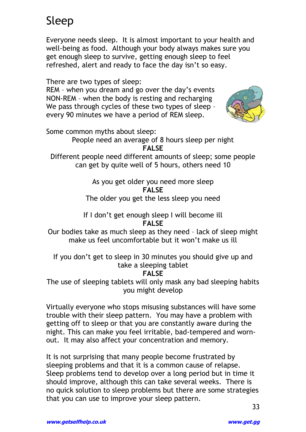# Sleep

Everyone needs sleep. It is almost important to your health and well-being as food. Although your body always makes sure you get enough sleep to survive, getting enough sleep to feel refreshed, alert and ready to face the day isn't so easy.

There are two types of sleep:

REM – when you dream and go over the day"s events NON-REM – when the body is resting and recharging We pass through cycles of these two types of sleep – every 90 minutes we have a period of REM sleep.



Some common myths about sleep:

People need an average of 8 hours sleep per night **FALSE** 

Different people need different amounts of sleep; some people can get by quite well of 5 hours, others need 10

> As you get older you need more sleep **FALSE**  The older you get the less sleep you need

If I don"t get enough sleep I will become ill **FALSE** 

Our bodies take as much sleep as they need – lack of sleep might make us feel uncomfortable but it won"t make us ill

If you don"t get to sleep in 30 minutes you should give up and take a sleeping tablet

#### **FALSE**

The use of sleeping tablets will only mask any bad sleeping habits you might develop

Virtually everyone who stops misusing substances will have some trouble with their sleep pattern. You may have a problem with getting off to sleep or that you are constantly aware during the night. This can make you feel irritable, bad-tempered and wornout. It may also affect your concentration and memory.

It is not surprising that many people become frustrated by sleeping problems and that it is a common cause of relapse. Sleep problems tend to develop over a long period but in time it should improve, although this can take several weeks. There is no quick solution to sleep problems but there are some strategies that you can use to improve your sleep pattern.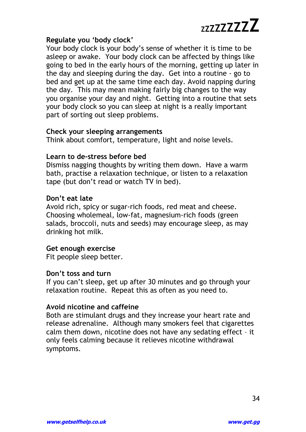## **Regulate you 'body clock'**

Your body clock is your body"s sense of whether it is time to be asleep or awake. Your body clock can be affected by things like going to bed in the early hours of the morning, getting up later in the day and sleeping during the day. Get into a routine - go to bed and get up at the same time each day. Avoid napping during the day. This may mean making fairly big changes to the way you organise your day and night. Getting into a routine that sets your body clock so you can sleep at night is a really important part of sorting out sleep problems.

#### **Check your sleeping arrangements**

Think about comfort, temperature, light and noise levels.

## **Learn to de-stress before bed**

Dismiss nagging thoughts by writing them down. Have a warm bath, practise a relaxation technique, or listen to a relaxation tape (but don"t read or watch TV in bed).

#### **Don't eat late**

Avoid rich, spicy or sugar-rich foods, red meat and cheese. Choosing wholemeal, low-fat, magnesium-rich foods (green salads, broccoli, nuts and seeds) may encourage sleep, as may drinking hot milk.

## **Get enough exercise**

Fit people sleep better.

## **Don't toss and turn**

If you can"t sleep, get up after 30 minutes and go through your relaxation routine. Repeat this as often as you need to.

## **Avoid nicotine and caffeine**

Both are stimulant drugs and they increase your heart rate and release adrenaline. Although many smokers feel that cigarettes calm them down, nicotine does not have any sedating effect – it only feels calming because it relieves nicotine withdrawal symptoms.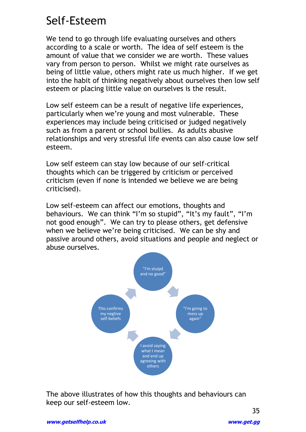## Self-Esteem

We tend to go through life evaluating ourselves and others according to a scale or worth. The idea of self esteem is the amount of value that we consider we are worth. These values vary from person to person. Whilst we might rate ourselves as being of little value, others might rate us much higher. If we get into the habit of thinking negatively about ourselves then low self esteem or placing little value on ourselves is the result.

Low self esteem can be a result of negative life experiences, particularly when we"re young and most vulnerable. These experiences may include being criticised or judged negatively such as from a parent or school bullies. As adults abusive relationships and very stressful life events can also cause low self esteem.

Low self esteem can stay low because of our self-critical thoughts which can be triggered by criticism or perceived criticism (even if none is intended we believe we are being criticised).

Low self-esteem can affect our emotions, thoughts and behaviours. We can think "I'm so stupid", "It's my fault", "I'm not good enough". We can try to please others, get defensive when we believe we're being criticised. We can be shy and passive around others, avoid situations and people and neglect or abuse ourselves.



The above illustrates of how this thoughts and behaviours can keep our self-esteem low.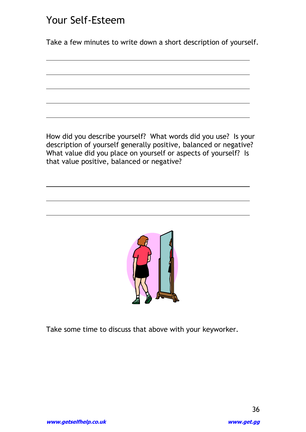## Your Self-Esteem

 $\overline{a}$ 

Take a few minutes to write down a short description of yourself.

How did you describe yourself? What words did you use? Is your description of yourself generally positive, balanced or negative? What value did you place on yourself or aspects of yourself? Is that value positive, balanced or negative?



Take some time to discuss that above with your keyworker.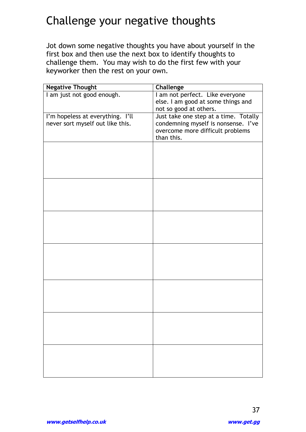## Challenge your negative thoughts

Jot down some negative thoughts you have about yourself in the first box and then use the next box to identify thoughts to challenge them. You may wish to do the first few with your keyworker then the rest on your own.

| <b>Negative Thought</b>          | <b>Challenge</b>                      |
|----------------------------------|---------------------------------------|
| I am just not good enough.       | I am not perfect. Like everyone       |
|                                  | else. I am good at some things and    |
|                                  | not so good at others.                |
| I'm hopeless at everything. I'll | Just take one step at a time. Totally |
| never sort myself out like this. | condemning myself is nonsense. I've   |
|                                  | overcome more difficult problems      |
|                                  | than this.                            |
|                                  |                                       |
|                                  |                                       |
|                                  |                                       |
|                                  |                                       |
|                                  |                                       |
|                                  |                                       |
|                                  |                                       |
|                                  |                                       |
|                                  |                                       |
|                                  |                                       |
|                                  |                                       |
|                                  |                                       |
|                                  |                                       |
|                                  |                                       |
|                                  |                                       |
|                                  |                                       |
|                                  |                                       |
|                                  |                                       |
|                                  |                                       |
|                                  |                                       |
|                                  |                                       |
|                                  |                                       |
|                                  |                                       |
|                                  |                                       |
|                                  |                                       |
|                                  |                                       |
|                                  |                                       |
|                                  |                                       |
|                                  |                                       |
|                                  |                                       |
|                                  |                                       |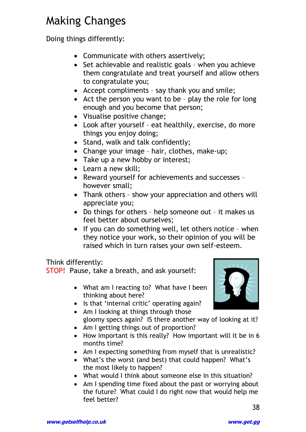# Making Changes

Doing things differently:

- Communicate with others assertively;
- Set achievable and realistic goals when you achieve them congratulate and treat yourself and allow others to congratulate you;
- Accept compliments say thank you and smile;
- Act the person you want to be play the role for long enough and you become that person;
- Visualise positive change;
- Look after yourself eat healthily, exercise, do more things you enjoy doing;
- Stand, walk and talk confidently;
- Change your image hair, clothes, make-up;
- Take up a new hobby or interest;
- Learn a new skill;
- Reward yourself for achievements and successes however small;
- Thank others show your appreciation and others will appreciate you;
- Do things for others help someone out it makes us feel better about ourselves;
- $\bullet$  If you can do something well, let others notice when they notice your work, so their opinion of you will be raised which in turn raises your own self-esteem.

#### Think differently:

STOP! Pause, take a breath, and ask yourself:

- What am I reacting to? What have I been thinking about here?
- Is that 'internal critic' operating again?
- Am I looking at things through those gloomy specs again? IS there another way of looking at it?
- Am I getting things out of proportion?
- How important is this really? How important will it be in 6 months time?
- Am I expecting something from myself that is unrealistic?
- What's the worst (and best) that could happen? What's the most likely to happen?
- What would I think about someone else in this situation?
- Am I spending time fixed about the past or worrying about the future? What could I do right now that would help me feel better?

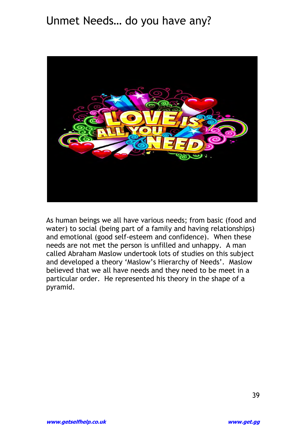## Unmet Needs… do you have any?



As human beings we all have various needs; from basic (food and water) to social (being part of a family and having relationships) and emotional (good self-esteem and confidence). When these needs are not met the person is unfilled and unhappy. A man called Abraham Maslow undertook lots of studies on this subject and developed a theory 'Maslow's Hierarchy of Needs'. Maslow believed that we all have needs and they need to be meet in a particular order. He represented his theory in the shape of a pyramid.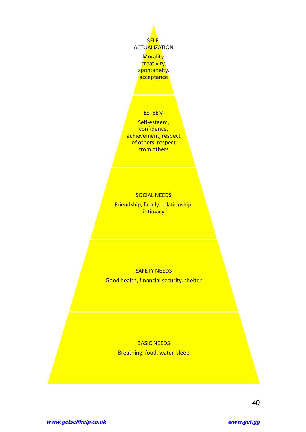

acceptance

#### ESTEEM

Self-esteem, confidence, achievement, respect of others, respect from others

#### SOCIAL NEEDS

Friendship, family, relationship, **intimacy** 

#### SAFETY NEEDS

Good health, financial security, shelter

#### BASIC NEEDS Breathing, food, water, sleep

40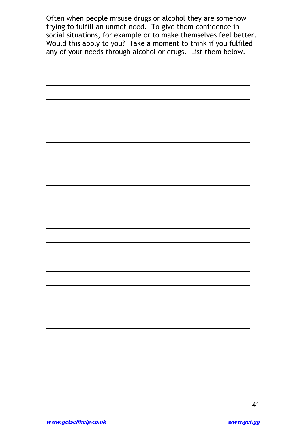Often when people misuse drugs or alcohol they are somehow trying to fulfill an unmet need. To give them confidence in social situations, for example or to make themselves feel better. Would this apply to you? Take a moment to think if you fulfiled any of your needs through alcohol or drugs. List them below.

 $\overline{a}$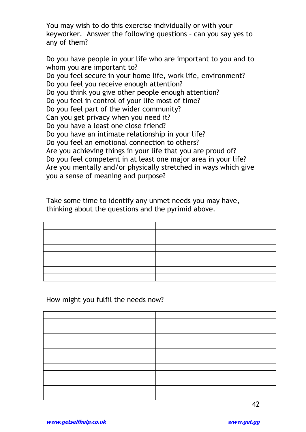You may wish to do this exercise individually or with your keyworker. Answer the following questions – can you say yes to any of them?

Do you have people in your life who are important to you and to whom you are important to? Do you feel secure in your home life, work life, environment? Do you feel you receive enough attention? Do you think you give other people enough attention? Do you feel in control of your life most of time? Do you feel part of the wider community? Can you get privacy when you need it? Do you have a least one close friend? Do you have an intimate relationship in your life? Do you feel an emotional connection to others? Are you achieving things in your life that you are proud of? Do you feel competent in at least one major area in your life? Are you mentally and/or physically stretched in ways which give you a sense of meaning and purpose?

Take some time to identify any unmet needs you may have, thinking about the questions and the pyrimid above.

How might you fulfil the needs now?

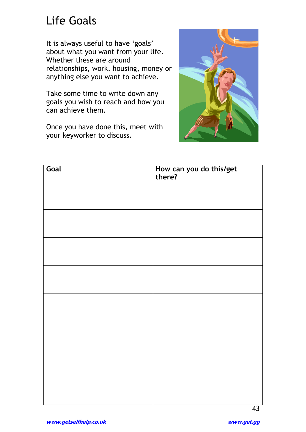## Life Goals

It is always useful to have 'goals' about what you want from your life. Whether these are around relationships, work, housing, money or anything else you want to achieve.

Take some time to write down any goals you wish to reach and how you can achieve them.

Once you have done this, meet with your keyworker to discuss.



| How can you do this/get<br>there? |
|-----------------------------------|
|                                   |
|                                   |
|                                   |
|                                   |
|                                   |
|                                   |
|                                   |
|                                   |
|                                   |
|                                   |
|                                   |
|                                   |
|                                   |
|                                   |
|                                   |
|                                   |